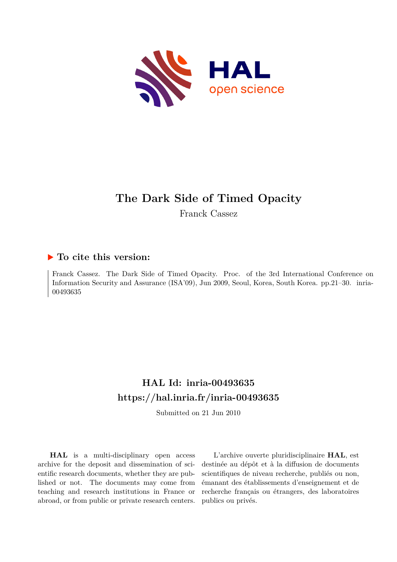

# **The Dark Side of Timed Opacity**

Franck Cassez

### **To cite this version:**

Franck Cassez. The Dark Side of Timed Opacity. Proc. of the 3rd International Conference on Information Security and Assurance (ISA'09), Jun 2009, Seoul, Korea, South Korea. pp.21–30. inria-00493635ff

## **HAL Id: inria-00493635 <https://hal.inria.fr/inria-00493635>**

Submitted on 21 Jun 2010

**HAL** is a multi-disciplinary open access archive for the deposit and dissemination of scientific research documents, whether they are published or not. The documents may come from teaching and research institutions in France or abroad, or from public or private research centers.

L'archive ouverte pluridisciplinaire **HAL**, est destinée au dépôt et à la diffusion de documents scientifiques de niveau recherche, publiés ou non, émanant des établissements d'enseignement et de recherche français ou étrangers, des laboratoires publics ou privés.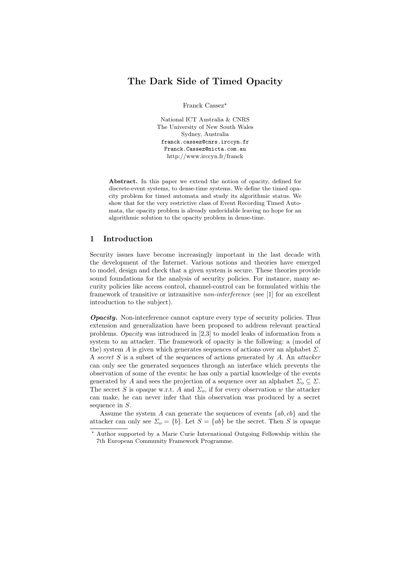### The Dark Side of Timed Opacity

Franck Cassez<sup>\*</sup>

National ICT Australia & CNRS The University of New South Wales Sydney, Australia franck.cassez@cnrs.irccyn.fr Franck.Cassez@nicta.com.au http://www.irccyn.fr/franck

Abstract. In this paper we extend the notion of opacity, defined for discrete-event systems, to dense-time systems. We define the timed opacity problem for timed automata and study its algorithmic status. We show that for the very restrictive class of Event Recording Timed Automata, the opacity problem is already undecidable leaving no hope for an algorithmic solution to the opacity problem in dense-time.

#### 1 Introduction

Security issues have become increasingly important in the last decade with the development of the Internet. Various notions and theories have emerged to model, design and check that a given system is secure. These theories provide sound foundations for the analysis of security policies. For instance, many security policies like access control, channel-control can be formulated within the framework of transitive or intransitive non-interference (see [1] for an excellent introduction to the subject).

**Opacity.** Non-interference cannot capture every type of security policies. Thus extension and generalization have been proposed to address relevant practical problems. Opacity was introduced in [2,3] to model leaks of information from a system to an attacker. The framework of opacity is the following: a (model of the) system A is given which generates sequences of actions over an alphabet  $\Sigma$ . A secret S is a subset of the sequences of actions generated by A. An attacker can only see the generated sequences through an interface which prevents the observation of some of the events: he has only a partial knowledge of the events generated by A and sees the projection of a sequence over an alphabet  $\Sigma_o \subseteq \Sigma$ . The secret S is opaque w.r.t. A and  $\Sigma_o$ , if for every observation w the attacker can make, he can never infer that this observation was produced by a secret sequence in S.

Assume the system A can generate the sequences of events  $\{ab, cb\}$  and the attacker can only see  $\Sigma_o = \{b\}$ . Let  $S = \{ab\}$  be the secret. Then S is opaque

<sup>⋆</sup> Author supported by a Marie Curie International Outgoing Fellowship within the 7th European Community Framework Programme.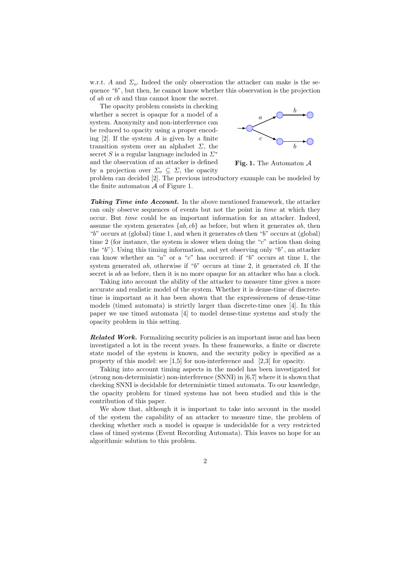w.r.t. A and  $\Sigma_o$ . Indeed the only observation the attacker can make is the sequence "b", but then, he cannot know whether this observation is the projection of ab or cb and thus cannot know the secret.

The opacity problem consists in checking whether a secret is opaque for a model of a system. Anonymity and non-interference can be reduced to opacity using a proper encoding  $[2]$ . If the system A is given by a finite transition system over an alphabet  $\Sigma$ , the secret S is a regular language included in  $\Sigma^*$ and the observation of an attacker is defined by a projection over  $\Sigma_o \subseteq \Sigma$ , the opacity



Fig. 1. The Automaton  $A$ 

problem can decided [2]. The previous introductory example can be modeled by the finite automaton  $A$  of Figure 1.

Taking Time into Account. In the above mentioned framework, the attacker can only observe sequences of events but not the point in time at which they occur. But time could be an important information for an attacker. Indeed, assume the system generates  $\{ab, cb\}$  as before, but when it generates ab, then "b" occurs at (global) time 1, and when it generates cb then "b" occurs at (global) time 2 (for instance, the system is slower when doing the " $c$ " action than doing the "b"). Using this timing information, and yet observing only "b", an attacker can know whether an " $a$ " or a " $c$ " has occurred: if " $b$ " occurs at time 1, the system generated ab, otherwise if "b" occurs at time 2, it generated cb. If the secret is ab as before, then it is no more opaque for an attacker who has a clock.

Taking into account the ability of the attacker to measure time gives a more accurate and realistic model of the system. Whether it is dense-time of discretetime is important as it has been shown that the expressiveness of dense-time models (timed automata) is strictly larger than discrete-time ones [4]. In this paper we use timed automata [4] to model dense-time systems and study the opacity problem in this setting.

**Related Work.** Formalizing security policies is an important issue and has been investigated a lot in the recent years. In these frameworks, a finite or discrete state model of the system is known, and the security policy is specified as a property of this model: see [1,5] for non-interference and [2,3] for opacity.

Taking into account timing aspects in the model has been investigated for (strong non-deterministic) non-interference (SNNI) in [6,7] where it is shown that checking SNNI is decidable for deterministic timed automata. To our knowledge, the opacity problem for timed systems has not been studied and this is the contribution of this paper.

We show that, although it is important to take into account in the model of the system the capability of an attacker to measure time, the problem of checking whether such a model is opaque is undecidable for a very restricted class of timed systems (Event Recording Automata). This leaves no hope for an algorithmic solution to this problem.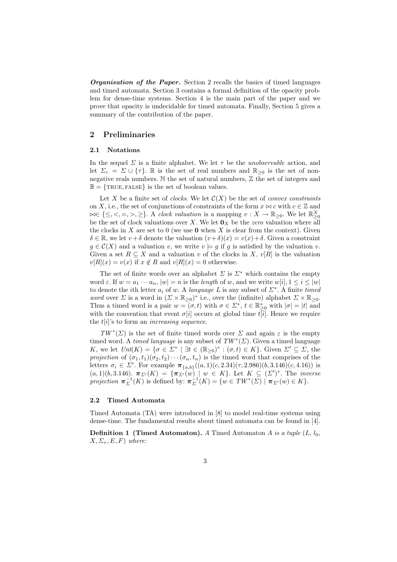**Organisation of the Paper.** Section 2 recalls the basics of timed languages and timed automata. Section 3 contains a formal definition of the opacity problem for dense-time systems. Section 4 is the main part of the paper and we prove that opacity is undecidable for timed automata. Finally, Section 5 gives a summary of the contribution of the paper.

#### 2 Preliminaries

#### 2.1 Notations

In the sequel  $\Sigma$  is a finite alphabet. We let  $\tau$  be the *unobservable* action, and let  $\Sigma_{\tau} = \Sigma \cup \{\tau\}$ . R is the set of real numbers and  $\mathbb{R}_{\geq 0}$  is the set of nonnegative reals numbers. N the set of natural numbers, Z the set of integers and  $\mathbb{B} = \{ \text{TRUE}, \text{FALSE} \}$  is the set of boolean values.

Let X be a finite set of *clocks*. We let  $\mathcal{C}(X)$  be the set of *convex constraints* on X, i.e., the set of conjunctions of constraints of the form  $x \bowtie c$  with  $c \in \mathbb{Z}$  and  $\bowtie \in \{\leq, <, =, >, \geq\}$ . A clock valuation is a mapping  $v : X \to \mathbb{R}_{\geq 0}$ . We let  $\mathbb{R}^X_{\geq 0}$ be the set of clock valuations over X. We let  $\mathbf{0}_X$  be the zero valuation where all the clocks in X are set to 0 (we use  $\bf{0}$  when X is clear from the context). Given  $\delta \in \mathbb{R}$ , we let  $v + \delta$  denote the valuation  $(v + \delta)(x) = v(x) + \delta$ . Given a constraint  $q \in \mathcal{C}(X)$  and a valuation v, we write  $v \models q$  if q is satisfied by the valuation v. Given a set  $R \subseteq X$  and a valuation v of the clocks in X,  $v[R]$  is the valuation  $v[R](x) = v(x)$  if  $x \notin R$  and  $v[R](x) = 0$  otherwise.

The set of finite words over an alphabet  $\Sigma$  is  $\Sigma^*$  which contains the empty word  $\varepsilon$ . If  $w = a_1 \cdots a_n$ ,  $|w| = n$  is the length of w, and we write  $w[i], 1 \le i \le |w|$ to denote the *i*<sup>th</sup> letter  $a_i$  of w. A *language* L is any subset of  $\Sigma^*$ . A finite *timed* word over  $\Sigma$  is a word in  $(\Sigma \times \mathbb{R}_{\geq 0})^*$  i.e., over the (infinite) alphabet  $\Sigma \times \mathbb{R}_{\geq 0}$ . Thus a timed word is a pair  $w = (\sigma, t)$  with  $\sigma \in \Sigma^*$ ,  $t \in \mathbb{R}_{\geq 0}^*$  with  $|\sigma| = |t|$  and with the convention that event  $\sigma[i]$  occurs at global time  $t[i]$ . Hence we require the  $t[i]$ 's to form an *increasing sequence*.

 $TW^*(\Sigma)$  is the set of finite timed words over  $\Sigma$  and again  $\varepsilon$  is the empty timed word. A timed language is any subset of  $TW^*(\Sigma)$ . Given a timed language K, we let  $\text{Int}(K) = \{\sigma \in \Sigma^* \mid \exists t \in (\mathbb{R}_{\geq 0})^* : (\sigma, t) \in K\}.$  Given  $\Sigma' \subseteq \Sigma$ , the projection of  $(\sigma_1, t_1)(\sigma_2, t_2)\cdots(\sigma_n, t_n)$  is the timed word that comprises of the letters  $\sigma_i \in \Sigma'$ . For example  $\pi_{\{a,b\}}((a,1)(c,2.34)(\tau,2.986)(b,3.146)(c,4.16))$  is  $(a, 1)(b, 3.146)$ .  $\pi_{\Sigma'}(K) = {\pi_{\Sigma'}(w) \mid w \in K}$ . Let  $K \subseteq (\Sigma')^*$ . The *inverse* projection  $\pi_{\Sigma}^{-1}(K)$  is defined by:  $\pi_{\Sigma}^{-1}(K) = \{w \in TW^*(\Sigma) \mid \pi_{\Sigma'}(w) \in K\}.$ 

#### 2.2 Timed Automata

Timed Automata (TA) were introduced in [8] to model real-time systems using dense-time. The fundamental results about timed automata can be found in [4].

**Definition 1 (Timed Automaton).** A Timed Automaton A is a tuple  $(L, l_0, l_0)$  $X, \Sigma_{\tau}, E, F$ ) where: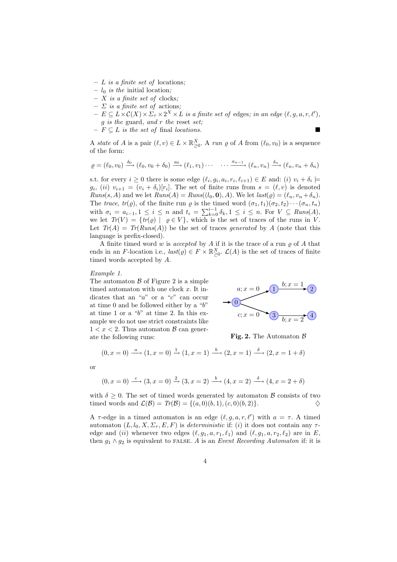- $L$  is a finite set of locations;
- $l_0$  *is the* initial location;
- $X$  is a finite set of clocks;
- $\sum$  is a finite set of actions;
- $E \subseteq L \times C(X) \times \Sigma_{\tau} \times 2^X \times L$  is a finite set of edges; in an edge  $(\ell, g, a, r, \ell')$ ,  $g$  is the guard, and  $r$  the reset set;
- $F \subseteq L$  is the set of final locations.

A state of A is a pair  $(\ell, v) \in L \times \mathbb{R}_{\geq 0}^X$ . A run  $\varrho$  of A from  $(\ell_0, v_0)$  is a sequence of the form:

$$
\varrho = (\ell_0, v_0) \xrightarrow{\delta_0} (\ell_0, v_0 + \delta_0) \xrightarrow{a_0} (\ell_1, v_1) \cdots \cdots \xrightarrow{a_{n-1}} (\ell_n, v_n) \xrightarrow{\delta_n} (\ell_n, v_n + \delta_n)
$$

s.t. for every  $i \geq 0$  there is some edge  $(\ell_i, g_i, a_i, r_i, \ell_{i+1}) \in E$  and: (i)  $v_i + \delta_i \models$  $g_i$ ,  $(ii)$   $v_{i+1} = (v_i + \delta_i)[r_i]$ . The set of finite runs from  $s = (\ell, v)$  is denoted  $Runs(s, A)$  and we let  $Runs(A) = Runs((l_0, 0), A)$ . We let  $last(\varrho) = (\ell_n, v_n + \delta_n)$ . The trace,  $tr(\varrho)$ , of the finite run  $\varrho$  is the timed word  $(\sigma_1, t_1)(\sigma_2, t_2)\cdots(\sigma_n, t_n)$ with  $\sigma_i = a_{i-1}, 1 \leq i \leq n$  and  $t_i = \sum_{k=0}^{i-1} \delta_k, 1 \leq i \leq n$ . For  $V \subseteq \text{Runs}(A)$ , we let  $Tr(V) = \{ tr(\varrho) \mid \varrho \in V \}$ , which is the set of traces of the runs in V. Let  $Tr(A) = Tr(Runs(A))$  be the set of traces *generated* by A (note that this language is prefix-closed).

A finite timed word  $w$  is accepted by  $A$  if it is the trace of a run  $\varrho$  of  $A$  that ends in an F-location i.e.,  $last(\varrho) \in F \times \mathbb{R}_{\geq 0}^X$ .  $\mathcal{L}(A)$  is the set of traces of finite timed words accepted by A.

#### Example 1.

The automaton  $\beta$  of Figure 2 is a simple timed automaton with one clock  $x$ . It indicates that an "a" or a "c" can occur at time 0 and be followed either by a "b" at time 1 or a "b" at time 2. In this example we do not use strict constraints like  $1 < x < 2$ . Thus automaton  $\beta$  can generate the following runs:



Fig. 2. The Automaton  $\beta$ 

$$
(0, x = 0) \xrightarrow{a} (1, x = 0) \xrightarrow{1} (1, x = 1) \xrightarrow{b} (2, x = 1) \xrightarrow{\delta} (2, x = 1 + \delta)
$$

or

$$
(0, x = 0) \xrightarrow{c} (3, x = 0) \xrightarrow{2} (3, x = 2) \xrightarrow{b} (4, x = 2) \xrightarrow{\delta} (4, x = 2 + \delta)
$$

with  $\delta \geq 0$ . The set of timed words generated by automaton  $\beta$  consists of two timed words and  $\mathcal{L}(\mathcal{B}) = Tr(\mathcal{B}) = \{(a, 0)(b, 1), (c, 0)(b, 2)\}.$ 

A  $\tau$ -edge in a timed automaton is an edge  $(\ell, g, a, r, \ell')$  with  $a = \tau$ . A timed automaton  $(L, l_0, X, \Sigma_\tau, E, F)$  is *deterministic* if: *(i)* it does not contain any  $\tau$ edge and (ii) whenever two edges  $(\ell, g_1, a, r_1, \ell_1)$  and  $(\ell, g_1, a, r_2, \ell_2)$  are in E, then  $g_1 \wedge g_2$  is equivalent to FALSE. A is an *Event Recording Automaton* if: it is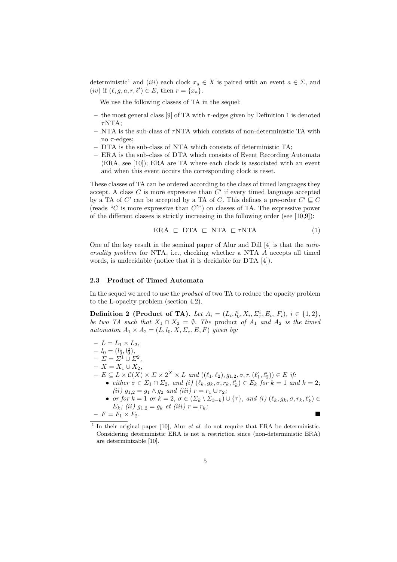deterministic<sup>1</sup> and (iii) each clock  $x_a \in X$  is paired with an event  $a \in \Sigma$ , and (*iv*) if  $(\ell, g, a, r, \ell') \in E$ , then  $r = \{x_a\}$ .

We use the following classes of TA in the sequel:

- the most general class [9] of TA with  $\tau$ -edges given by Definition 1 is denoted  $\tau$ NTA·
- $-$  NTA is the sub-class of  $\tau$ NTA which consists of non-deterministic TA with no  $\tau$ -edges;
- DTA is the sub-class of NTA which consists of deterministic TA;
- ERA is the sub-class of DTA which consists of Event Recording Automata (ERA, see [10]); ERA are TA where each clock is associated with an event and when this event occurs the corresponding clock is reset.

These classes of TA can be ordered according to the class of timed languages they accept. A class  $C$  is more expressive than  $C'$  if every timed language accepted by a TA of  $C'$  can be accepted by a TA of C. This defines a pre-order  $C' \sqsubseteq C$ (reads " $C$  is more expressive than  $C$ ") on classes of TA. The expressive power of the different classes is strictly increasing in the following order (see [10,9]):

$$
ERA \subset DTA \subset NTA \subset \tau NTA \tag{1}
$$

One of the key result in the seminal paper of Alur and Dill [4] is that the universality problem for NTA, i.e., checking whether a NTA A accepts all timed words, is undecidable (notice that it is decidable for DTA [4]).

#### 2.3 Product of Timed Automata

In the sequel we need to use the *product* of two TA to reduce the opacity problem to the L-opacity problem (section 4.2).

**Definition 2 (Product of TA).** Let  $A_i = (L_i, l_0^i, X_i, \Sigma_\tau^i, E_i, F_i), i \in \{1, 2\},\$ be two TA such that  $X_1 \cap X_2 = \emptyset$ . The product of  $A_1$  and  $A_2$  is the timed automaton  $A_1 \times A_2 = (L, l_0, X, \Sigma_\tau, E, F)$  given by:

 $-L = L_1 \times L_2$ ,  $-l_0=(l_0^1, l_0^2),$  $- \Sigma = \Sigma^1 \cup \Sigma^2$ , –  $X = X_1 ∪ X_2,$  $- E \subseteq L \times C(X) \times \Sigma \times 2^X \times L$  and  $((\ell_1, \ell_2), g_{1,2}, \sigma, r, (\ell'_1, \ell'_2)) \in E$  if: • either  $\sigma \in \Sigma_1 \cap \Sigma_2$ , and (i)  $(\ell_k, g_k, \sigma, r_k, \ell'_k) \in E_k$  for  $k = 1$  and  $k = 2$ ; (ii)  $g_{1,2} = g_1 \wedge g_2$  and (iii)  $r = r_1 \cup r_2$ ; • or for  $k = 1$  or  $k = 2$ ,  $\sigma \in (\Sigma_k \setminus \Sigma_{3-k}) \cup \{\tau\}$ , and (i)  $(\ell_k, g_k, \sigma, r_k, \ell'_k) \in$  $E_k$ ; (ii)  $g_{1,2} = g_k$  et (iii)  $r = r_k$ ;  $-F = F_1 \times F_2$ .

<sup>&</sup>lt;sup>1</sup> In their original paper [10], Alur *et al.* do not require that ERA be deterministic. Considering deterministic ERA is not a restriction since (non-deterministic ERA) are determinizable [10].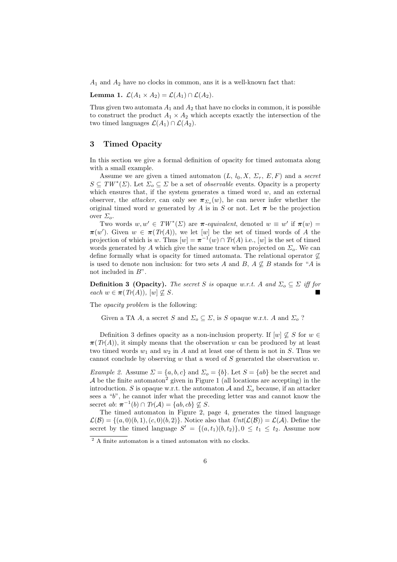$A_1$  and  $A_2$  have no clocks in common, ans it is a well-known fact that:

Lemma 1.  $\mathcal{L}(A_1 \times A_2) = \mathcal{L}(A_1) \cap \mathcal{L}(A_2)$ .

Thus given two automata  $A_1$  and  $A_2$  that have no clocks in common, it is possible to construct the product  $A_1 \times A_2$  which accepts exactly the intersection of the two timed languages  $\mathcal{L}(A_1) \cap \mathcal{L}(A_2)$ .

#### 3 Timed Opacity

In this section we give a formal definition of opacity for timed automata along with a small example.

Assume we are given a timed automaton  $(L, l_0, X, \Sigma_\tau, E, F)$  and a secret  $S \subseteq TW^*(\Sigma)$ . Let  $\Sigma_o \subseteq \Sigma$  be a set of *observable* events. Opacity is a property which ensures that, if the system generates a timed word  $w$ , and an external observer, the *attacker*, can only see  $\pi_{\Sigma_o}(w)$ , he can never infer whether the original timed word w generated by A is in S or not. Let  $\pi$  be the projection over  $\Sigma_o$ .

Two words  $w, w' \in TW^*(\Sigma)$  are  $\pi$ -equivalent, denoted  $w \equiv w'$  if  $\pi(w) =$  $\pi(w')$ . Given  $w \in \pi(Tr(A)),$  we let  $[w]$  be the set of timed words of A the projection of which is w. Thus  $[w] = \pi^{-1}(w) \cap Tr(A)$  i.e.,  $[w]$  is the set of timed words generated by A which give the same trace when projected on  $\Sigma_o$ . We can define formally what is opacity for timed automata. The relational operator  $\varphi$ is used to denote non inclusion: for two sets A and B,  $A \nsubseteq B$  stands for "A is not included in  $B$ ".

**Definition 3 (Opacity).** The secret S is opaque w.r.t. A and  $\Sigma_o \subseteq \Sigma$  iff for each  $w \in \pi(Tr(A)), [w] \nsubseteq S$ .

The *opacity problem* is the following:

Given a TA A, a secret S and  $\Sigma_o \subseteq \Sigma$ , is S opaque w.r.t. A and  $\Sigma_o$ ?

Definition 3 defines opacity as a non-inclusion property. If  $[w] \not\subseteq S$  for  $w \in$  $\pi(T(A))$ , it simply means that the observation w can be produced by at least two timed words  $w_1$  and  $w_2$  in A and at least one of them is not in S. Thus we cannot conclude by observing  $w$  that a word of  $S$  generated the observation  $w$ .

*Example 2.* Assume  $\Sigma = \{a, b, c\}$  and  $\Sigma_o = \{b\}$ . Let  $S = \{ab\}$  be the secret and  $A$  be the finite automaton<sup>2</sup> given in Figure 1 (all locations are accepting) in the introduction. S is opaque w.r.t. the automaton  $A$  and  $\Sigma_o$  because, if an attacker sees a "b", he cannot infer what the preceding letter was and cannot know the secret ab:  $\pi^{-1}(b) \cap Tr(A) = \{ab, cb\} \nsubseteq S$ .

The timed automaton in Figure 2, page 4, generates the timed language  $\mathcal{L}(\mathcal{B}) = \{(a, 0)(b, 1), (c, 0)(b, 2)\}\.$  Notice also that  $Unt(\mathcal{L}(\mathcal{B})) = \mathcal{L}(\mathcal{A})$ . Define the secret by the timed language  $S' = \{(a, t_1)(b, t_2)\}, 0 \le t_1 \le t_2$ . Assume now

 $^{\rm 2}$  A finite automaton is a timed automaton with no clocks.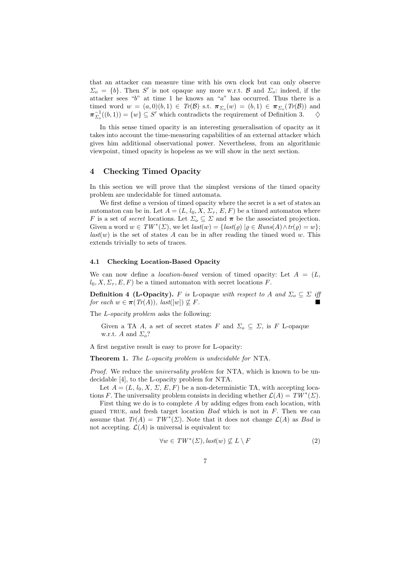that an attacker can measure time with his own clock but can only observe  $\Sigma_o = \{b\}$ . Then S' is not opaque any more w.r.t. B and  $\Sigma_o$ : indeed, if the attacker sees " $b$ " at time 1 he knows an "a" has occurred. Thus there is a timed word  $w = (a,0)(b,1) \in Tr(\mathcal{B})$  s.t.  $\pi_{\Sigma_o}(w) = (b,1) \in \pi_{\Sigma_o}(Tr(\mathcal{B}))$  and  $\pi_{\Sigma_o}^{-1}((b,1)) = \{w\} \subseteq S'$  which contradicts the requirement of Definition 3.  $\diamond$ 

In this sense timed opacity is an interesting generalisation of opacity as it takes into account the time-measuring capabilities of an external attacker which gives him additional observational power. Nevertheless, from an algorithmic viewpoint, timed opacity is hopeless as we will show in the next section.

#### 4 Checking Timed Opacity

In this section we will prove that the simplest versions of the timed opacity problem are undecidable for timed automata.

We first define a version of timed opacity where the secret is a set of states an automaton can be in. Let  $A = (L, l_0, X, \Sigma_{\tau}, E, F)$  be a timed automaton where F is a set of *secret* locations. Let  $\Sigma_o \subseteq \Sigma$  and  $\pi$  be the associated projection. Given a word  $w \in TW^*(\Sigma)$ , we let  $last(w) = \{last(\varrho) | \varrho \in Runs(A) \wedge tr(\varrho) = w\};$  $last(w)$  is the set of states A can be in after reading the timed word w. This extends trivially to sets of traces.

#### 4.1 Checking Location-Based Opacity

We can now define a *location-based* version of timed opacity: Let  $A = (L,$  $l_0, X, \Sigma_{\tau}, E, F$  be a timed automaton with secret locations F.

**Definition 4 (L-Opacity).** F is L-opaque with respect to A and  $\Sigma_o \subseteq \Sigma$  iff for each  $w \in \pi(Tr(A)), \text{ last}([w]) \nsubseteq F.$ 

The *L*-opacity problem asks the following:

Given a TA A, a set of secret states F and  $\Sigma_o \subseteq \Sigma$ , is F L-opaque w.r.t. A and  $\Sigma_o$ ?

A first negative result is easy to prove for L-opacity:

Theorem 1. The L-opacity problem is undecidable for NTA.

Proof. We reduce the *universality problem* for NTA, which is known to be undecidable [4], to the L-opacity problem for NTA.

Let  $A = (L, l_0, X, \Sigma, E, F)$  be a non-deterministic TA, with accepting locations F. The universality problem consists in deciding whether  $\mathcal{L}(A) = TW^*(\Sigma)$ .

First thing we do is to complete A by adding edges from each location, with guard TRUE, and fresh target location  $Bad$  which is not in  $F$ . Then we can assume that  $Tr(A) = TW^*(\Sigma)$ . Note that it does not change  $\mathcal{L}(A)$  as Bad is not accepting.  $\mathcal{L}(A)$  is universal is equivalent to:

$$
\forall w \in TW^*(\Sigma), last(w) \not\subseteq L \setminus F \tag{2}
$$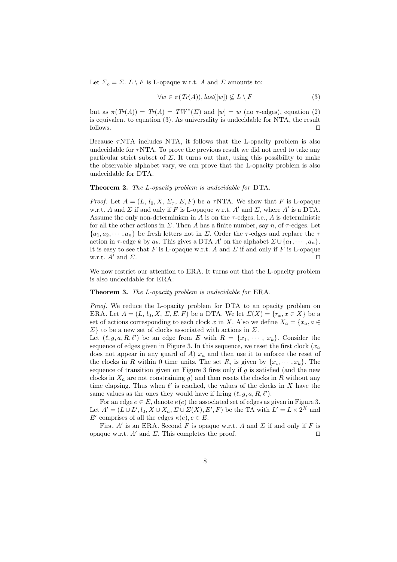Let  $\Sigma_o = \Sigma$ .  $L \setminus F$  is L-opaque w.r.t. A and  $\Sigma$  amounts to:

$$
\forall w \in \pi(Tr(A)), last([w]) \not\subseteq L \setminus F \tag{3}
$$

but as  $\pi(Tr(A)) = Tr(A) = TW^*(\Sigma)$  and  $[w] = w$  (no  $\tau$ -edges), equation (2) is equivalent to equation (3). As universality is undecidable for NTA, the result follows. ⊓⊔

Because  $\tau$ NTA includes NTA, it follows that the L-opacity problem is also undecidable for  $\tau$ NTA. To prove the previous result we did not need to take any particular strict subset of  $\Sigma$ . It turns out that, using this possibility to make the observable alphabet vary, we can prove that the L-opacity problem is also undecidable for DTA.

#### Theorem 2. The L-opacity problem is undecidable for DTA.

*Proof.* Let  $A = (L, l_0, X, \Sigma_\tau, E, F)$  be a  $\tau$ NTA. We show that F is L-opaque w.r.t. A and  $\Sigma$  if and only if F is L-opaque w.r.t. A' and  $\Sigma$ , where A' is a DTA. Assume the only non-determinism in  $A$  is on the  $\tau$ -edges, i.e.,  $A$  is deterministic for all the other actions in  $\Sigma$ . Then A has a finite number, say n, of  $\tau$ -edges. Let  $\{a_1, a_2, \dots, a_n\}$  be fresh letters not in  $\Sigma$ . Order the  $\tau$ -edges and replace the  $\tau$ action in  $\tau$ -edge k by  $a_k$ . This gives a DTA A' on the alphabet  $\Sigma \cup \{a_1, \dots, a_n\}$ . It is easy to see that F is L-opaque w.r.t. A and  $\Sigma$  if and only if F is L-opaque w.r.t.  $A'$  and  $\Sigma$ .

We now restrict our attention to ERA. It turns out that the L-opacity problem is also undecidable for ERA:

Theorem 3. The L-opacity problem is undecidable for ERA.

Proof. We reduce the L-opacity problem for DTA to an opacity problem on ERA. Let  $A = (L, l_0, X, \Sigma, E, F)$  be a DTA. We let  $\Sigma(X) = \{r_x, x \in X\}$  be a set of actions corresponding to each clock x in X. Also we define  $X_a = \{x_a, a \in$  $\Sigma$ } to be a new set of clocks associated with actions in  $\Sigma$ .

Let  $(\ell, g, a, R, \ell')$  be an edge from E with  $R = \{x_1, \dots, x_k\}$ . Consider the sequence of edges given in Figure 3. In this sequence, we reset the first clock  $(x_a$ does not appear in any guard of A)  $x_a$  and then use it to enforce the reset of the clocks in R within 0 time units. The set  $R_i$  is given by  $\{x_i, \dots, x_k\}$ . The sequence of transition given on Figure 3 fires only if  $g$  is satisfied (and the new clocks in  $X_a$  are not constraining q) and then resets the clocks in R without any time elapsing. Thus when  $\ell'$  is reached, the values of the clocks in X have the same values as the ones they would have if firing  $(\ell, g, a, R, \ell').$ 

For an edge  $e \in E$ , denote  $\kappa(e)$  the associated set of edges as given in Figure 3. Let  $A' = (L \cup L', l_0, X \cup X_a, \Sigma \cup \Sigma(X), E', F)$  be the TA with  $L' = L \times 2^X$  and E' comprises of all the edges  $\kappa(e)$ ,  $e \in E$ .

First  $A'$  is an ERA. Second F is opaque w.r.t. A and  $\Sigma$  if and only if F is opaque w.r.t. A′ and  $\Sigma$ . This completes the proof. □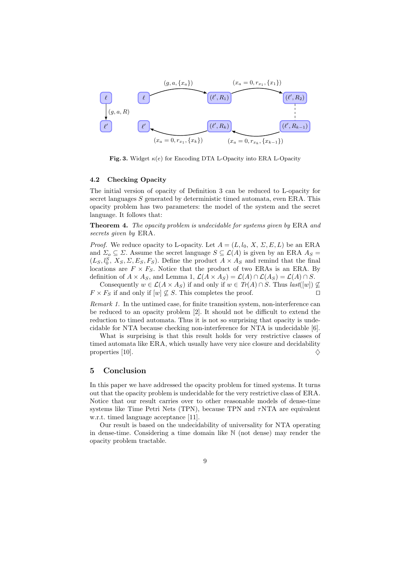

Fig. 3. Widget  $\kappa(e)$  for Encoding DTA L-Opacity into ERA L-Opacity

#### 4.2 Checking Opacity

The initial version of opacity of Definition 3 can be reduced to L-opacity for secret languages S generated by deterministic timed automata, even ERA. This opacity problem has two parameters: the model of the system and the secret language. It follows that:

Theorem 4. The opacity problem is undecidable for systems given by ERA and secrets given by ERA.

*Proof.* We reduce opacity to L-opacity. Let  $A = (L, l_0, X, \Sigma, E, L)$  be an ERA and  $\Sigma_o \subseteq \Sigma$ . Assume the secret language  $S \subseteq \mathcal{L}(A)$  is given by an ERA  $A_S =$  $(L_S, l_0^S, X_S, \Sigma, E_S, F_S)$ . Define the product  $A \times A_S$  and remind that the final locations are  $F \times F_S$ . Notice that the product of two ERAs is an ERA. By definition of  $A \times A_S$ , and Lemma 1,  $\mathcal{L}(A \times A_S) = \mathcal{L}(A) \cap \mathcal{L}(A_S) = \mathcal{L}(A) \cap S$ .

Consequently  $w \in \mathcal{L}(A \times A_S)$  if and only if  $w \in Tr(A) \cap S$ . Thus  $last([w]) \nsubseteq$  $F \times F_S$  if and only if  $[w] \not\subseteq S$ . This completes the proof. □

Remark 1. In the untimed case, for finite transition system, non-interference can be reduced to an opacity problem [2]. It should not be difficult to extend the reduction to timed automata. Thus it is not so surprising that opacity is undecidable for NTA because checking non-interference for NTA is undecidable [6].

What is surprising is that this result holds for very restrictive classes of timed automata like ERA, which usually have very nice closure and decidability properties [10].  $\diamondsuit$ 

#### 5 Conclusion

In this paper we have addressed the opacity problem for timed systems. It turns out that the opacity problem is undecidable for the very restrictive class of ERA. Notice that our result carries over to other reasonable models of dense-time systems like Time Petri Nets (TPN), because TPN and  $\tau$ NTA are equivalent w.r.t. timed language acceptance [11].

Our result is based on the undecidability of universality for NTA operating in dense-time. Considering a time domain like N (not dense) may render the opacity problem tractable.